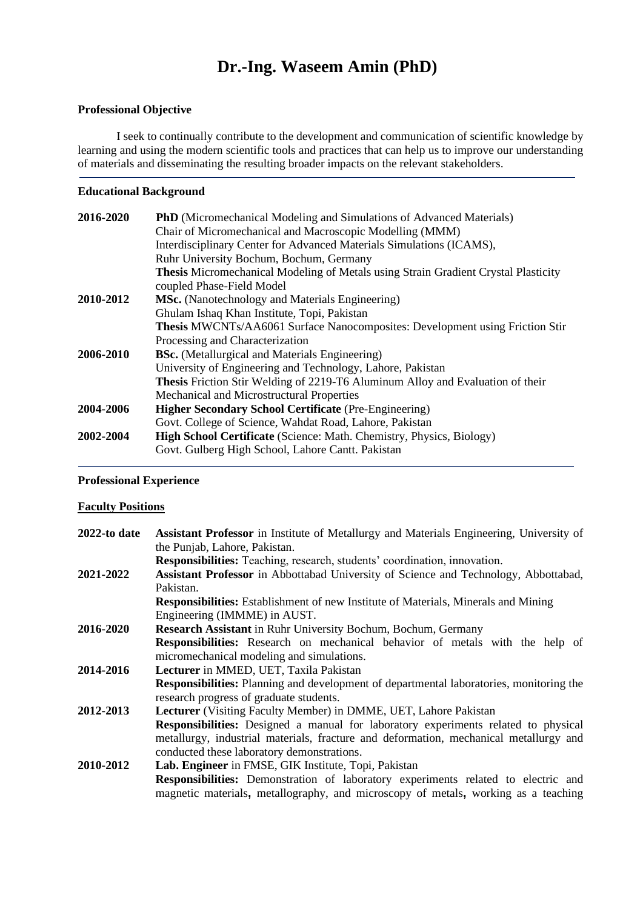# **Dr.-Ing. Waseem Amin (PhD)**

# **Professional Objective**

I seek to continually contribute to the development and communication of scientific knowledge by learning and using the modern scientific tools and practices that can help us to improve our understanding of materials and disseminating the resulting broader impacts on the relevant stakeholders.

#### **Educational Background**

| 2016-2020 | <b>PhD</b> (Micromechanical Modeling and Simulations of Advanced Materials)               |
|-----------|-------------------------------------------------------------------------------------------|
|           | Chair of Micromechanical and Macroscopic Modelling (MMM)                                  |
|           | Interdisciplinary Center for Advanced Materials Simulations (ICAMS),                      |
|           | Ruhr University Bochum, Bochum, Germany                                                   |
|           | <b>Thesis</b> Micromechanical Modeling of Metals using Strain Gradient Crystal Plasticity |
|           | coupled Phase-Field Model                                                                 |
| 2010-2012 | <b>MSc.</b> (Nanotechnology and Materials Engineering)                                    |
|           | Ghulam Ishaq Khan Institute, Topi, Pakistan                                               |
|           | <b>Thesis MWCNTs/AA6061 Surface Nanocomposites: Development using Friction Stir</b>       |
|           | Processing and Characterization                                                           |
| 2006-2010 | <b>BSc.</b> (Metallurgical and Materials Engineering)                                     |
|           | University of Engineering and Technology, Lahore, Pakistan                                |
|           | <b>Thesis</b> Friction Stir Welding of 2219-T6 Aluminum Alloy and Evaluation of their     |
|           | Mechanical and Microstructural Properties                                                 |
| 2004-2006 | <b>Higher Secondary School Certificate (Pre-Engineering)</b>                              |
|           | Govt. College of Science, Wahdat Road, Lahore, Pakistan                                   |
| 2002-2004 | High School Certificate (Science: Math. Chemistry, Physics, Biology)                      |
|           | Govt. Gulberg High School, Lahore Cantt. Pakistan                                         |
|           |                                                                                           |

# **Professional Experience**

# **Faculty Positions**

| 2022-to date | <b>Assistant Professor</b> in Institute of Metallurgy and Materials Engineering, University of |
|--------------|------------------------------------------------------------------------------------------------|
|              | the Punjab, Lahore, Pakistan.                                                                  |
|              | Responsibilities: Teaching, research, students' coordination, innovation.                      |
| 2021-2022    | Assistant Professor in Abbottabad University of Science and Technology, Abbottabad,            |
|              | Pakistan.                                                                                      |
|              | <b>Responsibilities:</b> Establishment of new Institute of Materials, Minerals and Mining      |
|              | Engineering (IMMME) in AUST.                                                                   |
| 2016-2020    | Research Assistant in Ruhr University Bochum, Bochum, Germany                                  |
|              | <b>Responsibilities:</b> Research on mechanical behavior of metals with the help of            |
|              | micromechanical modeling and simulations.                                                      |
| 2014-2016    | Lecturer in MMED, UET, Taxila Pakistan                                                         |
|              | <b>Responsibilities:</b> Planning and development of departmental laboratories, monitoring the |
|              | research progress of graduate students.                                                        |
| 2012-2013    | Lecturer (Visiting Faculty Member) in DMME, UET, Lahore Pakistan                               |
|              | <b>Responsibilities:</b> Designed a manual for laboratory experiments related to physical      |
|              | metallurgy, industrial materials, fracture and deformation, mechanical metallurgy and          |
|              | conducted these laboratory demonstrations.                                                     |
| 2010-2012    | Lab. Engineer in FMSE, GIK Institute, Topi, Pakistan                                           |
|              | <b>Responsibilities:</b> Demonstration of laboratory experiments related to electric and       |
|              | magnetic materials, metallography, and microscopy of metals, working as a teaching             |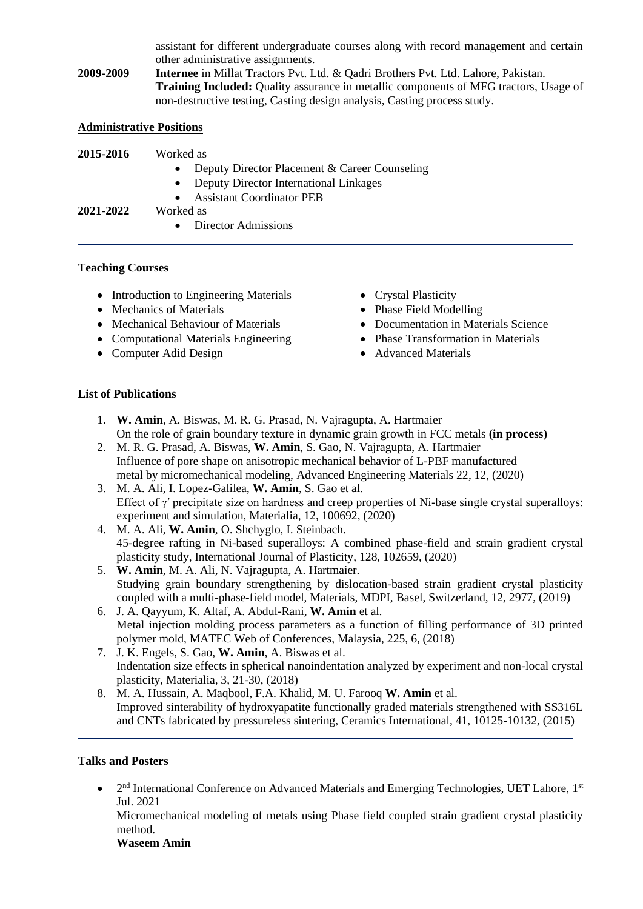assistant for different undergraduate courses along with record management and certain other administrative assignments.

**2009-2009 Internee** in Millat Tractors Pvt. Ltd. & Qadri Brothers Pvt. Ltd. Lahore, Pakistan. **Training Included:** Quality assurance in metallic components of MFG tractors, Usage of non-destructive testing, Casting design analysis, Casting process study.

# **Administrative Positions**

| <b>2015-2016</b> | Worked as                                         |
|------------------|---------------------------------------------------|
|                  | • Deputy Director Placement $&$ Career Counseling |
|                  | • Deputy Director International Linkages          |
|                  | • Assistant Coordinator PEB                       |
| <b>2021-2022</b> | Worked as                                         |
|                  | • Director Admissions                             |
|                  |                                                   |

# **Teaching Courses**

- Introduction to Engineering Materials
- Mechanics of Materials
- Mechanical Behaviour of Materials
- Computational Materials Engineering
- Computer Adid Design
- Crystal Plasticity
- Phase Field Modelling
- Documentation in Materials Science
- Phase Transformation in Materials
- Advanced Materials

# **List of Publications**

- 1. **W. Amin**, A. Biswas, M. R. G. Prasad, N. Vajragupta, A. Hartmaier On the role of grain boundary texture in dynamic grain growth in FCC metals **(in process)**
- 2. M. R. G. Prasad, A. Biswas, **W. Amin**, S. Gao, N. Vajragupta, A. Hartmaier Influence of pore shape on anisotropic mechanical behavior of L-PBF manufactured metal by micromechanical modeling, Advanced Engineering Materials 22, 12, (2020)
- 3. M. A. Ali, I. Lopez-Galilea, **W. Amin**, S. Gao et al. Effect of γ′ precipitate size on hardness and creep properties of Ni-base single crystal superalloys: experiment and simulation, Materialia, 12, 100692, (2020)
- 4. M. A. Ali, **W. Amin**, O. Shchyglo, I. Steinbach. 45-degree rafting in Ni-based superalloys: A combined phase-field and strain gradient crystal plasticity study, International Journal of Plasticity, 128, 102659, (2020)
- 5. **W. Amin**, M. A. Ali, N. Vajragupta, A. Hartmaier. Studying grain boundary strengthening by dislocation-based strain gradient crystal plasticity coupled with a multi-phase-field model, Materials, MDPI, Basel, Switzerland, 12, 2977, (2019)
- 6. J. A. Qayyum, K. Altaf, A. Abdul-Rani, **W. Amin** et al. Metal injection molding process parameters as a function of filling performance of 3D printed polymer mold, MATEC Web of Conferences, Malaysia, 225, 6, (2018)
- 7. J. K. Engels, S. Gao, **W. Amin**, A. Biswas et al. Indentation size effects in spherical nanoindentation analyzed by experiment and non-local crystal plasticity, Materialia, 3, 21-30, (2018)
- 8. M. A. Hussain, A. Maqbool, F.A. Khalid, M. U. Farooq **W. Amin** et al. Improved sinterability of hydroxyapatite functionally graded materials strengthened with SS316L and CNTs fabricated by pressureless sintering, Ceramics International, 41, 10125-10132, (2015)

#### **Talks and Posters**

• 2<sup>nd</sup> International Conference on Advanced Materials and Emerging Technologies, UET Lahore, 1<sup>st</sup> Jul. 2021

Micromechanical modeling of metals using Phase field coupled strain gradient crystal plasticity method.

**Waseem Amin**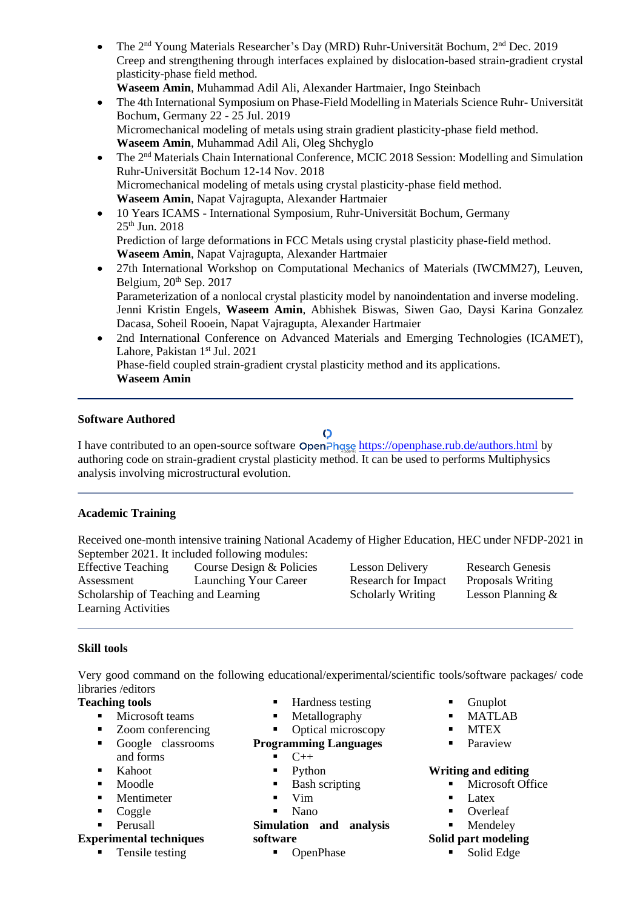- The 2<sup>nd</sup> Young Materials Researcher's Day (MRD) Ruhr-Universität Bochum, 2<sup>nd</sup> Dec. 2019 Creep and strengthening through interfaces explained by dislocation-based strain-gradient crystal plasticity-phase field method.
	- **Waseem Amin**, Muhammad Adil Ali, Alexander Hartmaier, Ingo Steinbach
- The 4th International Symposium on Phase-Field Modelling in Materials Science Ruhr- Universität Bochum, Germany 22 - 25 Jul. 2019 Micromechanical modeling of metals using strain gradient plasticity-phase field method. **Waseem Amin**, Muhammad Adil Ali, Oleg Shchyglo
- The 2<sup>nd</sup> Materials Chain International Conference, MCIC 2018 Session: Modelling and Simulation Ruhr-Universität Bochum 12-14 Nov. 2018 Micromechanical modeling of metals using crystal plasticity-phase field method. **Waseem Amin**, Napat Vajragupta, Alexander Hartmaier
- 10 Years ICAMS International Symposium, Ruhr-Universität Bochum, Germany 25th Jun. 2018 Prediction of large deformations in FCC Metals using crystal plasticity phase-field method. **Waseem Amin**, Napat Vajragupta, Alexander Hartmaier
- 27th International Workshop on Computational Mechanics of Materials (IWCMM27), Leuven, Belgium, 20<sup>th</sup> Sep. 2017 Parameterization of a nonlocal crystal plasticity model by nanoindentation and inverse modeling. Jenni Kristin Engels, **Waseem Amin**, Abhishek Biswas, Siwen Gao, Daysi Karina Gonzalez Dacasa, Soheil Rooein, Napat Vajragupta, Alexander Hartmaier
- 2nd International Conference on Advanced Materials and Emerging Technologies (ICAMET), Lahore, Pakistan 1st Jul. 2021 Phase-field coupled strain-gradient crystal plasticity method and its applications. **Waseem Amin**

# **Software Authored**

I have contributed to an open-source software Open-hase <https://openphase.rub.de/authors.html> by authoring code on strain-gradient crystal plasticity method. It can be used to performs Multiphysics analysis involving microstructural evolution.

 $\circ$ 

#### **Academic Training**

Received one-month intensive training National Academy of Higher Education, HEC under NFDP-2021 in September 2021. It included following modules:

Effective Teaching Course Design & Policies Lesson Delivery Research Genesis Assessment Launching Your Career Research for Impact Proposals Writing Scholarship of Teaching and Learning Scholarly Writing Lesson Planning & Learning Activities

#### **Skill tools**

Very good command on the following educational/experimental/scientific tools/software packages/ code libraries /editors

#### **Teaching tools**

- Microsoft teams
- Zoom conferencing
- Google classrooms and forms
- Kahoot
- Moodle
- Mentimeter
- Coggle
- **•** Perusall

#### **Experimental techniques**

■ Tensile testing

- Hardness testing
- Metallography
- Optical microscopy

# **Programming Languages**

- $C_{++}$
- Python
- Bash scripting
- Vim
- Nano

**Simulation and analysis software**

■ OpenPhase

- Gnuplot
- MATLAB
- MTEX
- Paraview

#### **Writing and editing**

- **■** Microsoft Office
- Latex
- Overleaf
- Mendeley

# **Solid part modeling**

■ Solid Edge